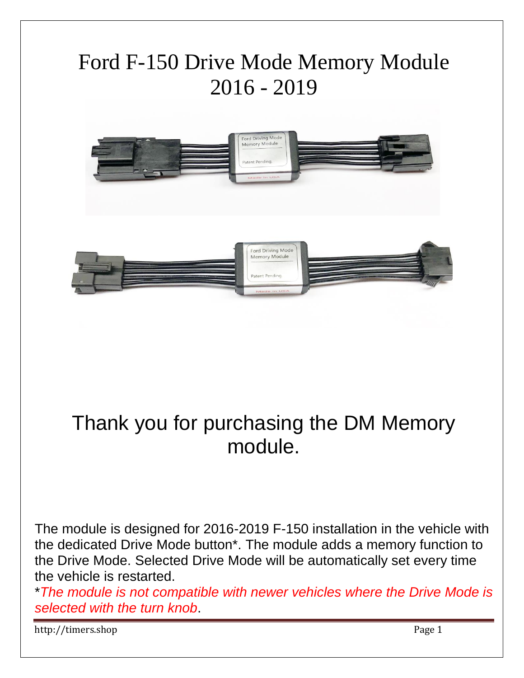

## Thank you for purchasing the DM Memory module.

The module is designed for 2016-2019 F-150 installation in the vehicle with the dedicated Drive Mode button\*. The module adds a memory function to the Drive Mode. Selected Drive Mode will be automatically set every time the vehicle is restarted.

\**The module is not compatible with newer vehicles where the Drive Mode is selected with the turn knob*.

http://timers.shop Page 1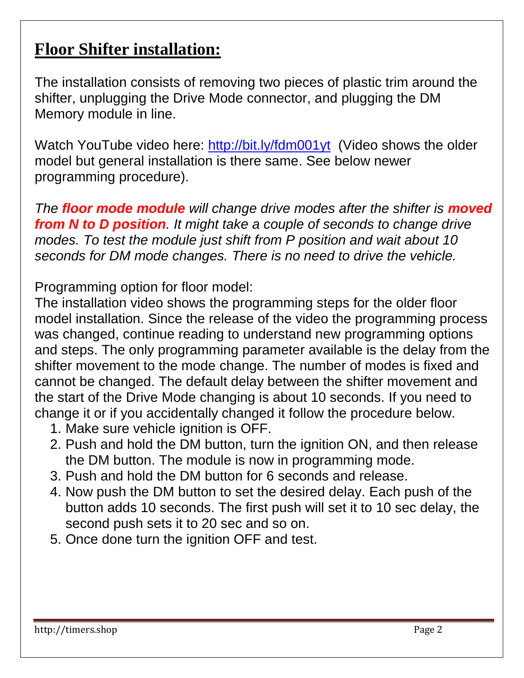## **Floor Shifter installation:**

The installation consists of removing two pieces of plastic trim around the shifter, unplugging the Drive Mode connector, and plugging the DM Memory module in line.

Watch YouTube video here: <http://bit.ly/fdm001yt>(Video shows the older model but general installation is there same. See below newer programming procedure).

*The floor mode module will change drive modes after the shifter is moved from N to D position. It might take a couple of seconds to change drive modes. To test the module just shift from P position and wait about 10 seconds for DM mode changes. There is no need to drive the vehicle.*

Programming option for floor model:

The installation video shows the programming steps for the older floor model installation. Since the release of the video the programming process was changed, continue reading to understand new programming options and steps. The only programming parameter available is the delay from the shifter movement to the mode change. The number of modes is fixed and cannot be changed. The default delay between the shifter movement and the start of the Drive Mode changing is about 10 seconds. If you need to change it or if you accidentally changed it follow the procedure below.

- 1. Make sure vehicle ignition is OFF.
- 2. Push and hold the DM button, turn the ignition ON, and then release the DM button. The module is now in programming mode.
- 3. Push and hold the DM button for 6 seconds and release.
- 4. Now push the DM button to set the desired delay. Each push of the button adds 10 seconds. The first push will set it to 10 sec delay, the second push sets it to 20 sec and so on.
- 5. Once done turn the ignition OFF and test.